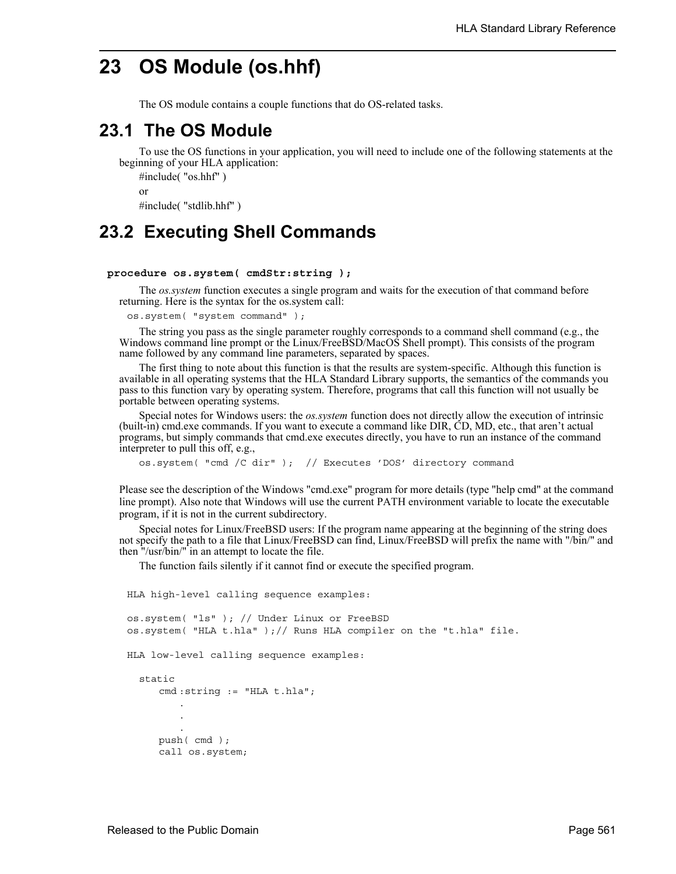# **23 OS Module (os.hhf)**

The OS module contains a couple functions that do OS-related tasks.

### **23.1 The OS Module**

To use the OS functions in your application, you will need to include one of the following statements at the beginning of your HLA application:

#include( "os.hhf" ) or #include( "stdlib.hhf" )

## **23.2 Executing Shell Commands**

#### **procedure os.system( cmdStr:string );**

The *os.system* function executes a single program and waits for the execution of that command before returning. Here is the syntax for the os.system call:

os.system( "system command" );

The string you pass as the single parameter roughly corresponds to a command shell command (e.g., the Windows command line prompt or the Linux/FreeBSD/MacOS Shell prompt). This consists of the program name followed by any command line parameters, separated by spaces.

The first thing to note about this function is that the results are system-specific. Although this function is available in all operating systems that the HLA Standard Library supports, the semantics of the commands you pass to this function vary by operating system. Therefore, programs that call this function will not usually be portable between operating systems.

Special notes for Windows users: the *os.system* function does not directly allow the execution of intrinsic (built-in) cmd.exe commands. If you want to execute a command like DIR, CD, MD, etc., that aren't actual programs, but simply commands that cmd.exe executes directly, you have to run an instance of the command interpreter to pull this off, e.g.,

os.system( "cmd /C dir" ); // Executes 'DOS' directory command

Please see the description of the Windows "cmd.exe" program for more details (type "help cmd" at the command line prompt). Also note that Windows will use the current PATH environment variable to locate the executable program, if it is not in the current subdirectory.

Special notes for Linux/FreeBSD users: If the program name appearing at the beginning of the string does not specify the path to a file that Linux/FreeBSD can find, Linux/FreeBSD will prefix the name with "/bin/" and then "/usr/bin/" in an attempt to locate the file.

The function fails silently if it cannot find or execute the specified program.

```
HLA high-level calling sequence examples:
os.system( "ls" ); // Under Linux or FreeBSD
os.system( "HLA t.hla" );// Runs HLA compiler on the "t.hla" file.
HLA low-level calling sequence examples:
  static
     cmd :string := "HLA t.hla";
         .
         .
         .
     push( cmd );
     call os.system;
```